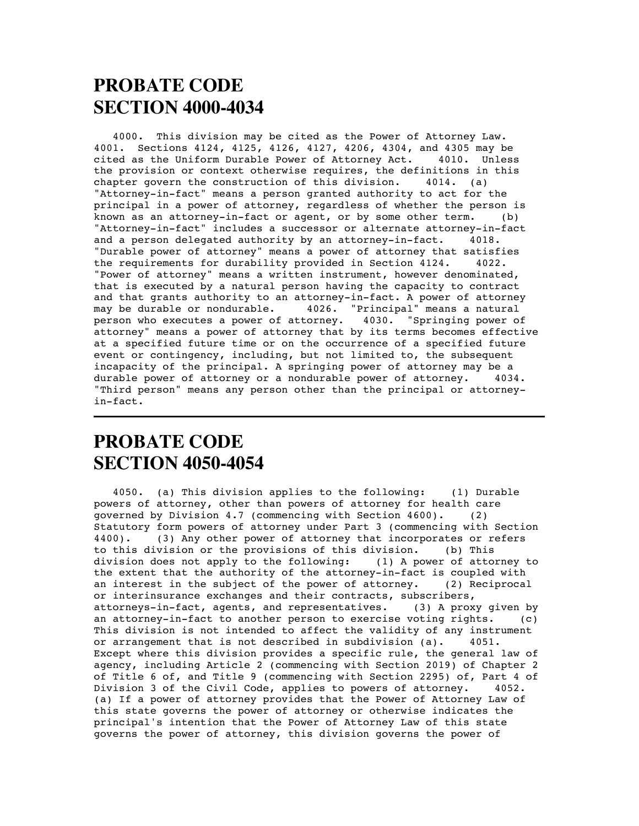# **PROBATE CODE SECTION 4000-4034**

 4000. This division may be cited as the Power of Attorney Law. 4001. Sections 4124, 4125, 4126, 4127, 4206, 4304, and 4305 may be cited as the Uniform Durable Power of Attorney Act. 4010. Unless the provision or context otherwise requires, the definitions in this chapter govern the construction of this division. 4014. (a) "Attorney-in-fact" means a person granted authority to act for the principal in a power of attorney, regardless of whether the person is known as an attorney-in-fact or agent, or by some other term. (b) "Attorney-in-fact" includes a successor or alternate attorney-in-fact and a person delegated authority by an attorney-in-fact. 4018. "Durable power of attorney" means a power of attorney that satisfies the requirements for durability provided in Section 4124. 4022. "Power of attorney" means a written instrument, however denominated, that is executed by a natural person having the capacity to contract and that grants authority to an attorney-in-fact. A power of attorney may be durable or nondurable. 4026. "Principal" means a natural<br>person who executes a power of attorney. 4030. "Springing power of person who executes a power of attorney. attorney" means a power of attorney that by its terms becomes effective at a specified future time or on the occurrence of a specified future event or contingency, including, but not limited to, the subsequent incapacity of the principal. A springing power of attorney may be a durable power of attorney or a nondurable power of attorney. 4034. "Third person" means any person other than the principal or attorneyin-fact.

## **PROBATE CODE SECTION 4050-4054**

 4050. (a) This division applies to the following: (1) Durable powers of attorney, other than powers of attorney for health care governed by Division 4.7 (commencing with Section 4600). (2) Statutory form powers of attorney under Part 3 (commencing with Section 4400). (3) Any other power of attorney that incorporates or refers<br>to this division or the provisions of this division. (b) This to this division or the provisions of this division. division does not apply to the following: (1) A power of attorney to the extent that the authority of the attorney-in-fact is coupled with<br>an interest in the subject of the power of attorney. (2) Reciprocal an interest in the subject of the power of attorney. or interinsurance exchanges and their contracts, subscribers, attorneys-in-fact, agents, and representatives. (3) A proxy given by an attorney-in-fact to another person to exercise voting rights. (c) This division is not intended to affect the validity of any instrument or arrangement that is not described in subdivision (a). 4051. Except where this division provides a specific rule, the general law of agency, including Article 2 (commencing with Section 2019) of Chapter 2 of Title 6 of, and Title 9 (commencing with Section 2295) of, Part 4 of Division 3 of the Civil Code, applies to powers of attorney. 4052. (a) If a power of attorney provides that the Power of Attorney Law of this state governs the power of attorney or otherwise indicates the principal's intention that the Power of Attorney Law of this state governs the power of attorney, this division governs the power of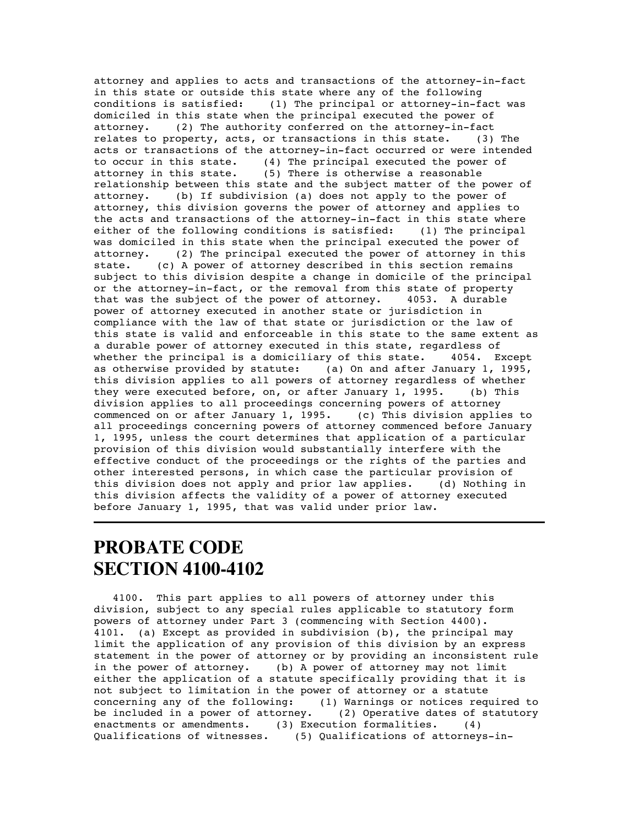attorney and applies to acts and transactions of the attorney-in-fact in this state or outside this state where any of the following conditions is satisfied: (1) The principal or attorney-in-fact was domiciled in this state when the principal executed the power of attorney. (2) The authority conferred on the attorney-in-fact<br>relates to property, acts, or transactions in this state. (3) The relates to property, acts, or transactions in this state. acts or transactions of the attorney-in-fact occurred or were intended to occur in this state. (4) The principal executed the power of attorney in this state. (5) There is otherwise a reasonable relationship between this state and the subject matter of the power of attorney. (b) If subdivision (a) does not apply to the power of attorney, this division governs the power of attorney and applies to the acts and transactions of the attorney-in-fact in this state where either of the following conditions is satisfied: (1) The principal was domiciled in this state when the principal executed the power of attorney. (2) The principal executed the power of attorney in this state. (c) A power of attorney described in this section remains subject to this division despite a change in domicile of the principal or the attorney-in-fact, or the removal from this state of property that was the subject of the power of attorney. 4053. A durable power of attorney executed in another state or jurisdiction in compliance with the law of that state or jurisdiction or the law of this state is valid and enforceable in this state to the same extent as a durable power of attorney executed in this state, regardless of whether the principal is a domiciliary of this state. 4054. Except as otherwise provided by statute: (a) On and after January 1, 1995, this division applies to all powers of attorney regardless of whether they were executed before, on, or after January 1, 1995. (b) This division applies to all proceedings concerning powers of attorney commenced on or after January 1, 1995. (c) This division applies to all proceedings concerning powers of attorney commenced before January 1, 1995, unless the court determines that application of a particular provision of this division would substantially interfere with the effective conduct of the proceedings or the rights of the parties and other interested persons, in which case the particular provision of this division does not apply and prior law applies. (d) Nothing in this division affects the validity of a power of attorney executed before January 1, 1995, that was valid under prior law.

### **PROBATE CODE SECTION 4100-4102**

 4100. This part applies to all powers of attorney under this division, subject to any special rules applicable to statutory form powers of attorney under Part 3 (commencing with Section 4400). 4101. (a) Except as provided in subdivision (b), the principal may limit the application of any provision of this division by an express statement in the power of attorney or by providing an inconsistent rule in the power of attorney. (b) A power of attorney may not limit either the application of a statute specifically providing that it is not subject to limitation in the power of attorney or a statute concerning any of the following: (1) Warnings or notices required to be included in a power of attorney. (2) Operative dates of statutory enactments or amendments. (3) Execution formalities. (4) Qualifications of witnesses. (5) Qualifications of attorneys-in-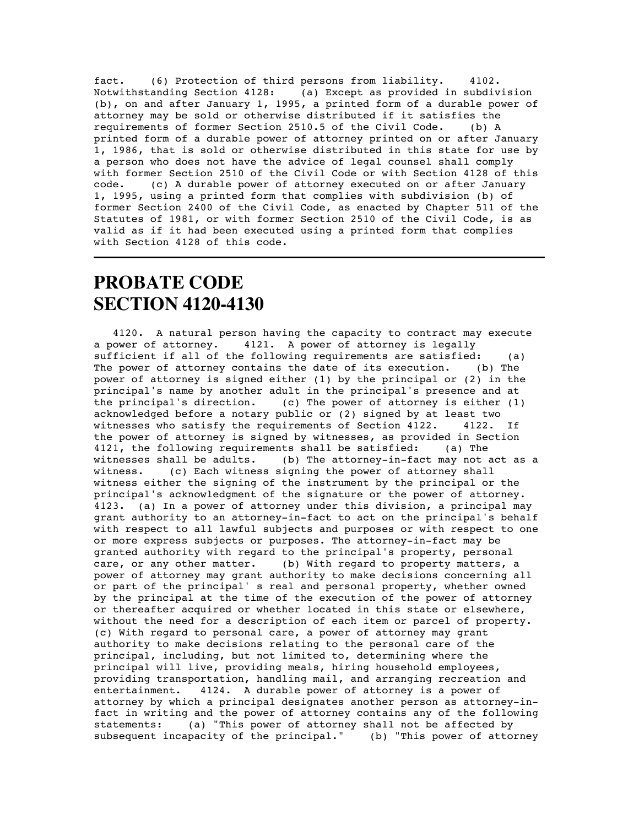fact. (6) Protection of third persons from liability. 4102. Notwithstanding Section 4128: (a) Except as provided in subdivision (b), on and after January 1, 1995, a printed form of a durable power of attorney may be sold or otherwise distributed if it satisfies the requirements of former Section 2510.5 of the Civil Code. (b) A printed form of a durable power of attorney printed on or after January 1, 1986, that is sold or otherwise distributed in this state for use by a person who does not have the advice of legal counsel shall comply with former Section 2510 of the Civil Code or with Section 4128 of this code. (c) A durable power of attorney executed on or after January 1, 1995, using a printed form that complies with subdivision (b) of former Section 2400 of the Civil Code, as enacted by Chapter 511 of the Statutes of 1981, or with former Section 2510 of the Civil Code, is as valid as if it had been executed using a printed form that complies with Section 4128 of this code.

### **PROBATE CODE SECTION 4120-4130**

 4120. A natural person having the capacity to contract may execute a power of attorney. 4121. A power of attorney is legally sufficient if all of the following requirements are satisfied: (a) The power of attorney contains the date of its execution. (b) The power of attorney is signed either (1) by the principal or (2) in the principal's name by another adult in the principal's presence and at the principal's direction. (c) The power of attorney is either (1) acknowledged before a notary public or (2) signed by at least two witnesses who satisfy the requirements of Section 4122. 4122. If the power of attorney is signed by witnesses, as provided in Section 4121, the following requirements shall be satisfied: (a) The witnesses shall be adults. (b) The attorney-in-fact may not act as a witness. (c) Each witness signing the power of attorney shall witness either the signing of the instrument by the principal or the principal's acknowledgment of the signature or the power of attorney. 4123. (a) In a power of attorney under this division, a principal may grant authority to an attorney-in-fact to act on the principal's behalf with respect to all lawful subjects and purposes or with respect to one or more express subjects or purposes. The attorney-in-fact may be granted authority with regard to the principal's property, personal care, or any other matter. (b) With regard to property matters, a power of attorney may grant authority to make decisions concerning all or part of the principal' s real and personal property, whether owned by the principal at the time of the execution of the power of attorney or thereafter acquired or whether located in this state or elsewhere, without the need for a description of each item or parcel of property. (c) With regard to personal care, a power of attorney may grant authority to make decisions relating to the personal care of the principal, including, but not limited to, determining where the principal will live, providing meals, hiring household employees, providing transportation, handling mail, and arranging recreation and entertainment. 4124. A durable power of attorney is a power of attorney by which a principal designates another person as attorney-infact in writing and the power of attorney contains any of the following statements: (a) "This power of attorney shall not be affected by subsequent incapacity of the principal." (b) "This power of attorney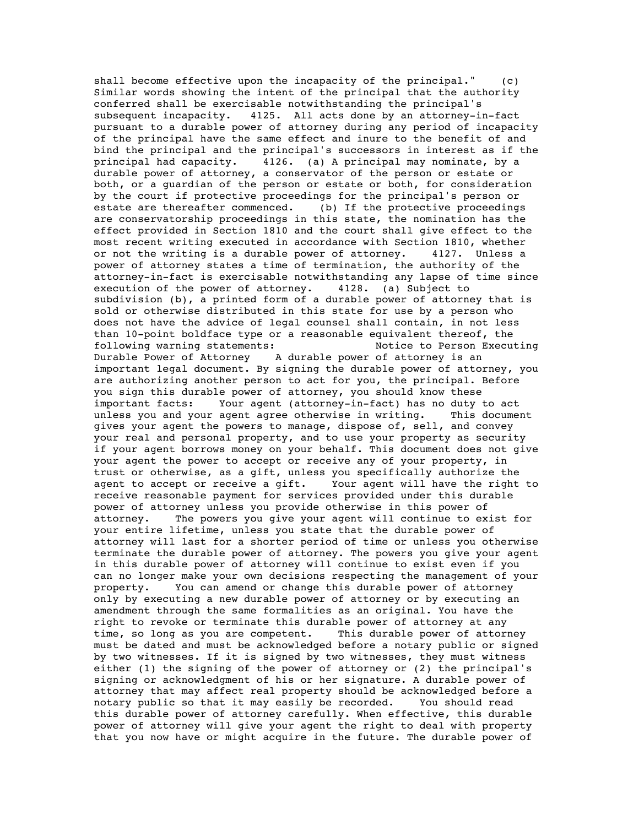shall become effective upon the incapacity of the principal." (c) Similar words showing the intent of the principal that the authority conferred shall be exercisable notwithstanding the principal's subsequent incapacity. 4125. All acts done by an attorney-in-fact pursuant to a durable power of attorney during any period of incapacity of the principal have the same effect and inure to the benefit of and bind the principal and the principal's successors in interest as if the principal had capacity. 4126. (a) A principal may nominate, by a durable power of attorney, a conservator of the person or estate or both, or a guardian of the person or estate or both, for consideration by the court if protective proceedings for the principal's person or estate are thereafter commenced. (b) If the protective proceedings are conservatorship proceedings in this state, the nomination has the effect provided in Section 1810 and the court shall give effect to the most recent writing executed in accordance with Section 1810, whether or not the writing is a durable power of attorney. 4127. Unless a power of attorney states a time of termination, the authority of the attorney-in-fact is exercisable notwithstanding any lapse of time since execution of the power of attorney. 4128. (a) Subject to subdivision (b), a printed form of a durable power of attorney that is sold or otherwise distributed in this state for use by a person who does not have the advice of legal counsel shall contain, in not less than 10-point boldface type or a reasonable equivalent thereof, the following warning statements: Notice to Person Executing<br>Durable Power of Attorney A durable power of attorney is an A durable power of attorney is an important legal document. By signing the durable power of attorney, you are authorizing another person to act for you, the principal. Before you sign this durable power of attorney, you should know these important facts: Your agent (attorney-in-fact) has no duty to act unless you and your agent agree otherwise in writing. This document gives your agent the powers to manage, dispose of, sell, and convey your real and personal property, and to use your property as security if your agent borrows money on your behalf. This document does not give your agent the power to accept or receive any of your property, in trust or otherwise, as a gift, unless you specifically authorize the agent to accept or receive a gift. Your agent will have the right to receive reasonable payment for services provided under this durable power of attorney unless you provide otherwise in this power of attorney. The powers you give your agent will continue to exist for your entire lifetime, unless you state that the durable power of attorney will last for a shorter period of time or unless you otherwise terminate the durable power of attorney. The powers you give your agent in this durable power of attorney will continue to exist even if you can no longer make your own decisions respecting the management of your property. You can amend or change this durable power of attorney only by executing a new durable power of attorney or by executing an amendment through the same formalities as an original. You have the right to revoke or terminate this durable power of attorney at any time, so long as you are competent. This durable power of attorney must be dated and must be acknowledged before a notary public or signed by two witnesses. If it is signed by two witnesses, they must witness either (1) the signing of the power of attorney or (2) the principal's signing or acknowledgment of his or her signature. A durable power of attorney that may affect real property should be acknowledged before a notary public so that it may easily be recorded. You should read this durable power of attorney carefully. When effective, this durable power of attorney will give your agent the right to deal with property that you now have or might acquire in the future. The durable power of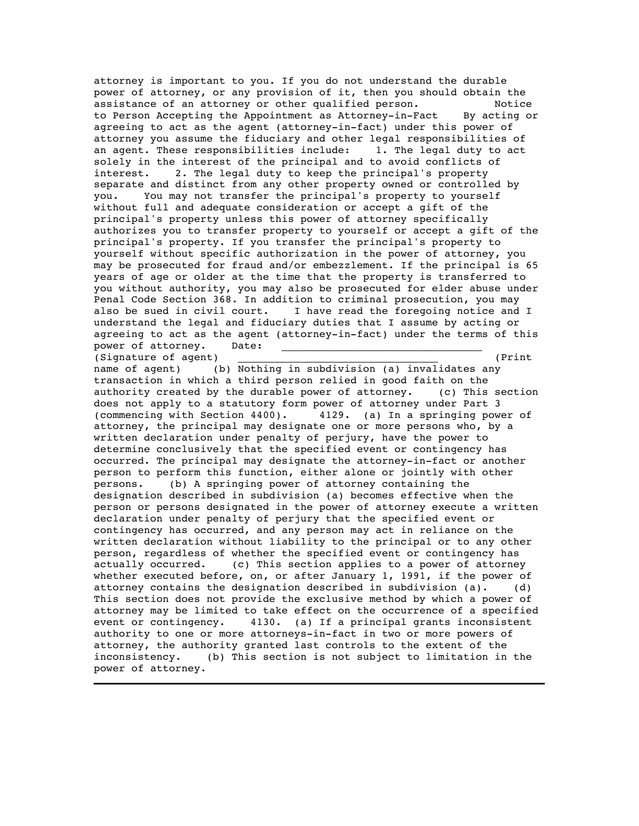attorney is important to you. If you do not understand the durable power of attorney, or any provision of it, then you should obtain the assistance of an attorney or other qualified person. Notice to Person Accepting the Appointment as Attorney-in-Fact By acting or agreeing to act as the agent (attorney-in-fact) under this power of attorney you assume the fiduciary and other legal responsibilities of<br>an agent. These responsibilities include: 1. The legal duty to act an agent. These responsibilities include: solely in the interest of the principal and to avoid conflicts of interest. 2. The legal duty to keep the principal's property separate and distinct from any other property owned or controlled by you. You may not transfer the principal's property to yourself without full and adequate consideration or accept a gift of the principal's property unless this power of attorney specifically authorizes you to transfer property to yourself or accept a gift of the principal's property. If you transfer the principal's property to yourself without specific authorization in the power of attorney, you may be prosecuted for fraud and/or embezzlement. If the principal is 65 years of age or older at the time that the property is transferred to you without authority, you may also be prosecuted for elder abuse under Penal Code Section 368. In addition to criminal prosecution, you may also be sued in civil court. I have read the foregoing notice and I understand the legal and fiduciary duties that I assume by acting or agreeing to act as the agent (attorney-in-fact) under the terms of this power of attorney. Date: (Signature of agent) and (Signature of agent) and (Print

name of agent) (b) Nothing in subdivision (a) invalidates any transaction in which a third person relied in good faith on the authority created by the durable power of attorney. (c) This section does not apply to a statutory form power of attorney under Part 3 (commencing with Section 4400). 4129. (a) In a springing power of attorney, the principal may designate one or more persons who, by a written declaration under penalty of perjury, have the power to determine conclusively that the specified event or contingency has occurred. The principal may designate the attorney-in-fact or another person to perform this function, either alone or jointly with other persons. (b) A springing power of attorney containing the designation described in subdivision (a) becomes effective when the person or persons designated in the power of attorney execute a written declaration under penalty of perjury that the specified event or contingency has occurred, and any person may act in reliance on the written declaration without liability to the principal or to any other person, regardless of whether the specified event or contingency has actually occurred. (c) This section applies to a power of attorney whether executed before, on, or after January 1, 1991, if the power of attorney contains the designation described in subdivision (a). (d) This section does not provide the exclusive method by which a power of attorney may be limited to take effect on the occurrence of a specified event or contingency. 4130. (a) If a principal grants inconsistent authority to one or more attorneys-in-fact in two or more powers of attorney, the authority granted last controls to the extent of the inconsistency. (b) This section is not subject to limitation in the power of attorney.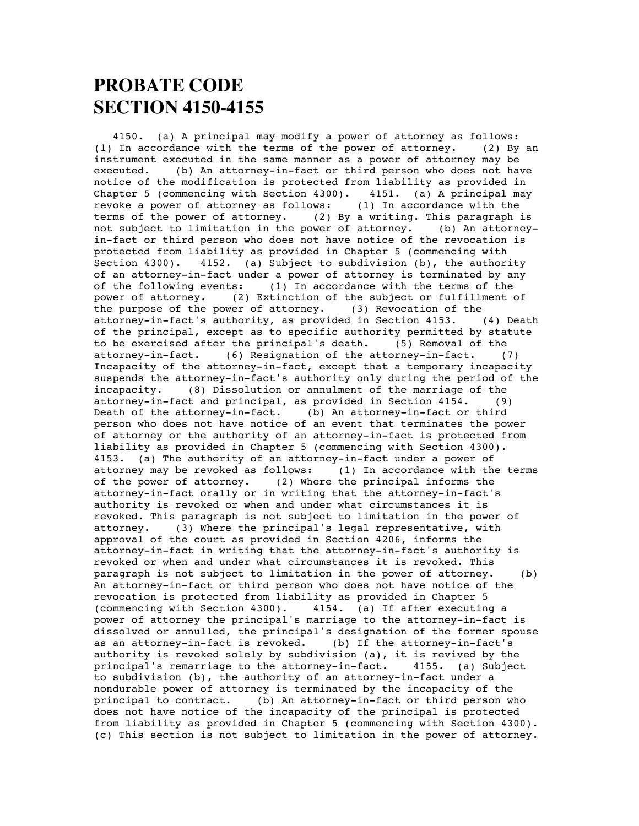# **PROBATE CODE SECTION 4150-4155**

 4150. (a) A principal may modify a power of attorney as follows: (1) In accordance with the terms of the power of attorney. (2) By an instrument executed in the same manner as a power of attorney may be executed. (b) An attorney-in-fact or third person who does not have notice of the modification is protected from liability as provided in Chapter 5 (commencing with Section 4300). 4151. (a) A principal may revoke a power of attorney as follows: (1) In accordance with the terms of the power of attorney. (2) By a writing. This paragraph is not subject to limitation in the power of attorney. (b) An attorneyin-fact or third person who does not have notice of the revocation is protected from liability as provided in Chapter 5 (commencing with Section 4300). 4152. (a) Subject to subdivision (b), the author. 4152. (a) Subject to subdivision (b), the authority of an attorney-in-fact under a power of attorney is terminated by any of the following events: (1) In accordance with the terms of the power of attorney. (2) Extinction of the subject or fulfillment of<br>the purpose of the power of attorney. (3) Revocation of the the purpose of the power of attorney. attorney-in-fact's authority, as provided in Section 4153. (4) Death of the principal, except as to specific authority permitted by statute<br>to be exercised after the principal's death. (5) Removal of the to be exercised after the principal's death. attorney-in-fact. (6) Resignation of the attorney-in-fact. (7) Incapacity of the attorney-in-fact, except that a temporary incapacity suspends the attorney-in-fact's authority only during the period of the incapacity. (8) Dissolution or annulment of the marriage of the attorney-in-fact and principal, as provided in Section 4154. (9) Death of the attorney-in-fact. (b) An attorney-in-fact or third person who does not have notice of an event that terminates the power of attorney or the authority of an attorney-in-fact is protected from liability as provided in Chapter 5 (commencing with Section 4300). 4153. (a) The authority of an attorney-in-fact under a power of attorney may be revoked as follows: (1) In accordance with the terms of the power of attorney. (2) Where the principal informs the attorney-in-fact orally or in writing that the attorney-in-fact's authority is revoked or when and under what circumstances it is revoked. This paragraph is not subject to limitation in the power of attorney. (3) Where the principal's legal representative, with approval of the court as provided in Section 4206, informs the attorney-in-fact in writing that the attorney-in-fact's authority is revoked or when and under what circumstances it is revoked. This paragraph is not subject to limitation in the power of attorney. (b) An attorney-in-fact or third person who does not have notice of the revocation is protected from liability as provided in Chapter 5 (commencing with Section 4300). 4154. (a) If after executing a power of attorney the principal's marriage to the attorney-in-fact is dissolved or annulled, the principal's designation of the former spouse<br>as an attorney-in-fact is revoked. (b) If the attorney-in-fact's as an attorney-in-fact is revoked. authority is revoked solely by subdivision (a), it is revived by the principal's remarriage to the attorney-in-fact. 4155. (a) Subject to subdivision (b), the authority of an attorney-in-fact under a nondurable power of attorney is terminated by the incapacity of the principal to contract. (b) An attorney-in-fact or third person who does not have notice of the incapacity of the principal is protected from liability as provided in Chapter 5 (commencing with Section 4300). (c) This section is not subject to limitation in the power of attorney.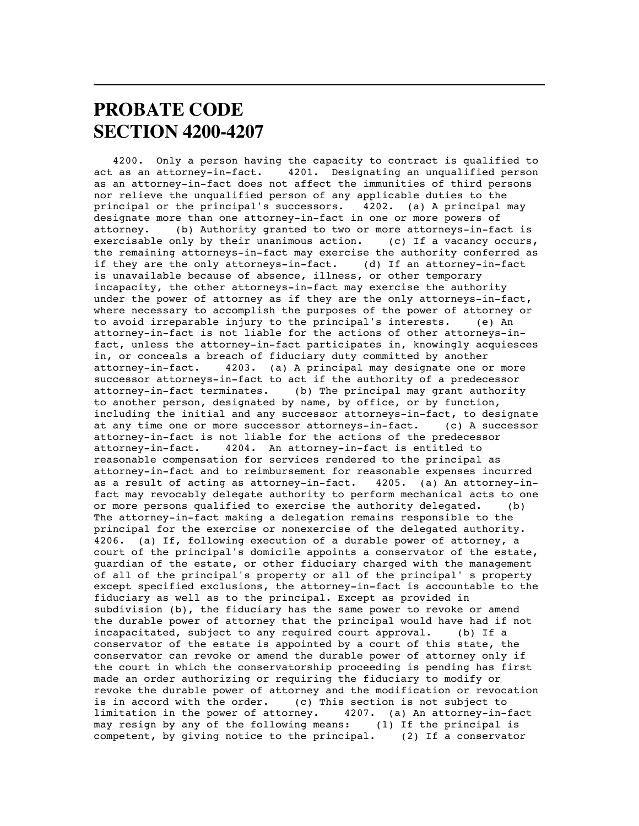#### **PROBATE CODE SECTION 4200-4207**

 4200. Only a person having the capacity to contract is qualified to act as an attorney-in-fact. 4201. Designating an unqualified person as an attorney-in-fact does not affect the immunities of third persons nor relieve the unqualified person of any applicable duties to the principal or the principal's successors. 4202. (a) A principal may designate more than one attorney-in-fact in one or more powers of attorney. (b) Authority granted to two or more attorneys-in-fact is exercisable only by their unanimous action. (c) If a vacancy occurs, the remaining attorneys-in-fact may exercise the authority conferred as if they are the only attorneys-in-fact. (d) If an attorney-in-fact is unavailable because of absence, illness, or other temporary incapacity, the other attorneys-in-fact may exercise the authority under the power of attorney as if they are the only attorneys-in-fact, where necessary to accomplish the purposes of the power of attorney or to avoid irreparable injury to the principal's interests. (e) An attorney-in-fact is not liable for the actions of other attorneys-infact, unless the attorney-in-fact participates in, knowingly acquiesces in, or conceals a breach of fiduciary duty committed by another attorney-in-fact. 4203. (a) A principal may designate one or more successor attorneys-in-fact to act if the authority of a predecessor attorney-in-fact terminates. (b) The principal may grant authority to another person, designated by name, by office, or by function, including the initial and any successor attorneys-in-fact, to designate at any time one or more successor attorneys-in-fact. (c) A successor attorney-in-fact is not liable for the actions of the predecessor attorney-in-fact. 4204. An attorney-in-fact is entitled to reasonable compensation for services rendered to the principal as attorney-in-fact and to reimbursement for reasonable expenses incurred as a result of acting as attorney-in-fact. 4205. (a) An attorney-infact may revocably delegate authority to perform mechanical acts to one or more persons qualified to exercise the authority delegated. (b) The attorney-in-fact making a delegation remains responsible to the principal for the exercise or nonexercise of the delegated authority. 4206. (a) If, following execution of a durable power of attorney, a court of the principal's domicile appoints a conservator of the estate, guardian of the estate, or other fiduciary charged with the management of all of the principal's property or all of the principal' s property except specified exclusions, the attorney-in-fact is accountable to the fiduciary as well as to the principal. Except as provided in subdivision (b), the fiduciary has the same power to revoke or amend the durable power of attorney that the principal would have had if not incapacitated, subject to any required court approval. (b) If a conservator of the estate is appointed by a court of this state, the conservator can revoke or amend the durable power of attorney only if the court in which the conservatorship proceeding is pending has first made an order authorizing or requiring the fiduciary to modify or revoke the durable power of attorney and the modification or revocation is in accord with the order. (c) This section is not subject to limitation in the power of attorney. 4207. (a) An attorney-in-fact may resign by any of the following means: (1) If the principal is competent, by giving notice to the principal. (2) If a conservator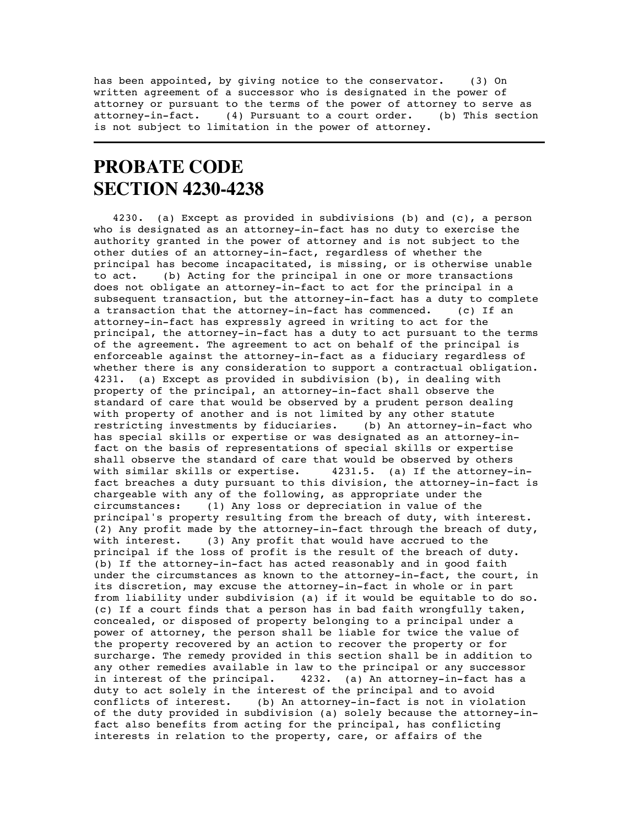has been appointed, by giving notice to the conservator. (3) On written agreement of a successor who is designated in the power of attorney or pursuant to the terms of the power of attorney to serve as attorney-in-fact. (4) Pursuant to a court order. (b) This section is not subject to limitation in the power of attorney.

## **PROBATE CODE SECTION 4230-4238**

 4230. (a) Except as provided in subdivisions (b) and (c), a person who is designated as an attorney-in-fact has no duty to exercise the authority granted in the power of attorney and is not subject to the other duties of an attorney-in-fact, regardless of whether the principal has become incapacitated, is missing, or is otherwise unable to act. (b) Acting for the principal in one or more transactions does not obligate an attorney-in-fact to act for the principal in a subsequent transaction, but the attorney-in-fact has a duty to complete a transaction that the attorney-in-fact has commenced. (c) If an attorney-in-fact has expressly agreed in writing to act for the principal, the attorney-in-fact has a duty to act pursuant to the terms of the agreement. The agreement to act on behalf of the principal is enforceable against the attorney-in-fact as a fiduciary regardless of whether there is any consideration to support a contractual obligation. 4231. (a) Except as provided in subdivision (b), in dealing with property of the principal, an attorney-in-fact shall observe the standard of care that would be observed by a prudent person dealing with property of another and is not limited by any other statute<br>restricting investments by fiduciaries. (b) An attorney-in-fact who restricting investments by fiduciaries. has special skills or expertise or was designated as an attorney-infact on the basis of representations of special skills or expertise shall observe the standard of care that would be observed by others with similar skills or expertise. 4231.5. (a) If the attorney-infact breaches a duty pursuant to this division, the attorney-in-fact is chargeable with any of the following, as appropriate under the circumstances: (1) Any loss or depreciation in value of the principal's property resulting from the breach of duty, with interest. (2) Any profit made by the attorney-in-fact through the breach of duty, with interest. (3) Any profit that would have accrued to the principal if the loss of profit is the result of the breach of duty. (b) If the attorney-in-fact has acted reasonably and in good faith under the circumstances as known to the attorney-in-fact, the court, in its discretion, may excuse the attorney-in-fact in whole or in part from liability under subdivision (a) if it would be equitable to do so. (c) If a court finds that a person has in bad faith wrongfully taken, concealed, or disposed of property belonging to a principal under a power of attorney, the person shall be liable for twice the value of the property recovered by an action to recover the property or for surcharge. The remedy provided in this section shall be in addition to any other remedies available in law to the principal or any successor in interest of the principal. 4232. (a) An attorney-in-fact has a duty to act solely in the interest of the principal and to avoid conflicts of interest. (b) An attorney-in-fact is not in violation of the duty provided in subdivision (a) solely because the attorney-infact also benefits from acting for the principal, has conflicting interests in relation to the property, care, or affairs of the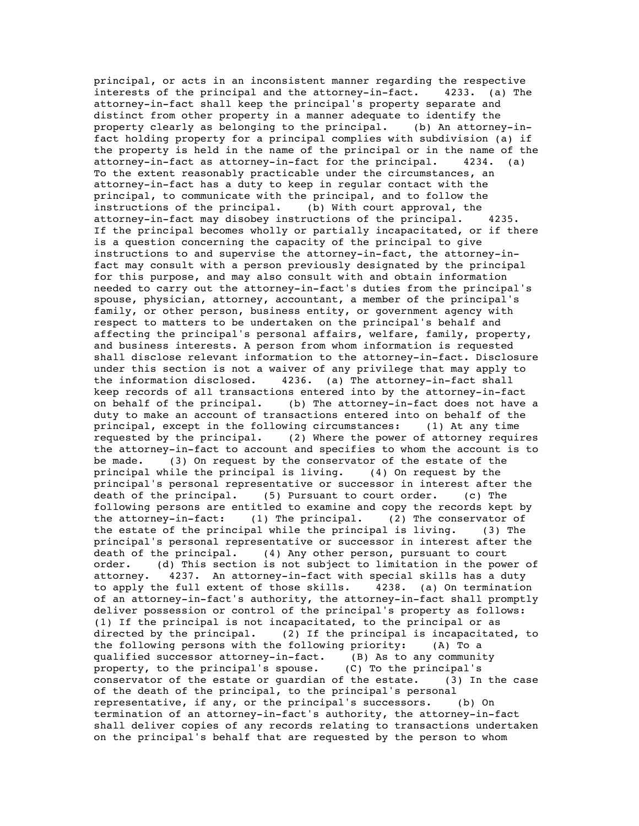principal, or acts in an inconsistent manner regarding the respective interests of the principal and the attorney-in-fact. 4233. (a) The attorney-in-fact shall keep the principal's property separate and distinct from other property in a manner adequate to identify the property clearly as belonging to the principal. (b) An attorney-infact holding property for a principal complies with subdivision (a) if the property is held in the name of the principal or in the name of the attorney-in-fact as attorney-in-fact for the principal. 4234. (a) To the extent reasonably practicable under the circumstances, an attorney-in-fact has a duty to keep in regular contact with the principal, to communicate with the principal, and to follow the instructions of the principal. (b) With court approval, the attorney-in-fact may disobey instructions of the principal. 4235. If the principal becomes wholly or partially incapacitated, or if there is a question concerning the capacity of the principal to give instructions to and supervise the attorney-in-fact, the attorney-infact may consult with a person previously designated by the principal for this purpose, and may also consult with and obtain information needed to carry out the attorney-in-fact's duties from the principal's spouse, physician, attorney, accountant, a member of the principal's family, or other person, business entity, or government agency with respect to matters to be undertaken on the principal's behalf and affecting the principal's personal affairs, welfare, family, property, and business interests. A person from whom information is requested shall disclose relevant information to the attorney-in-fact. Disclosure under this section is not a waiver of any privilege that may apply to the information disclosed. 4236. (a) The attorney-in-fact shall keep records of all transactions entered into by the attorney-in-fact on behalf of the principal. (b) The attorney-in-fact does not have a duty to make an account of transactions entered into on behalf of the principal, except in the following circumstances: (1) At any time requested by the principal. (2) Where the power of attorney requires the attorney-in-fact to account and specifies to whom the account is to be made. (3) On request by the conservator of the estate of the principal while the principal is living. (4) On request by the principal's personal representative or successor in interest after the death of the principal. (5) Pursuant to court order. (c) The following persons are entitled to examine and copy the records kept by the attorney-in-fact: (1) The principal. (2) The conservator of the estate of the principal while the principal is living. (3) The principal's personal representative or successor in interest after the death of the principal. (4) Any other person, pursuant to court order. (d) This section is not subject to limitation in the power of attorney. 4237. An attorney-in-fact with special skills has a duty to apply the full extent of those skills. 4238. (a) On termination of an attorney-in-fact's authority, the attorney-in-fact shall promptly deliver possession or control of the principal's property as follows: (1) If the principal is not incapacitated, to the principal or as directed by the principal. (2) If the principal is incapacitated, to the following persons with the following priority: (A) To a the following persons with the following priority: qualified successor attorney-in-fact. (B) As to any community property, to the principal's spouse. (C) To the principal's conservator of the estate or guardian of the estate. (3) In the case of the death of the principal, to the principal's personal representative, if any, or the principal's successors. (b) On termination of an attorney-in-fact's authority, the attorney-in-fact shall deliver copies of any records relating to transactions undertaken on the principal's behalf that are requested by the person to whom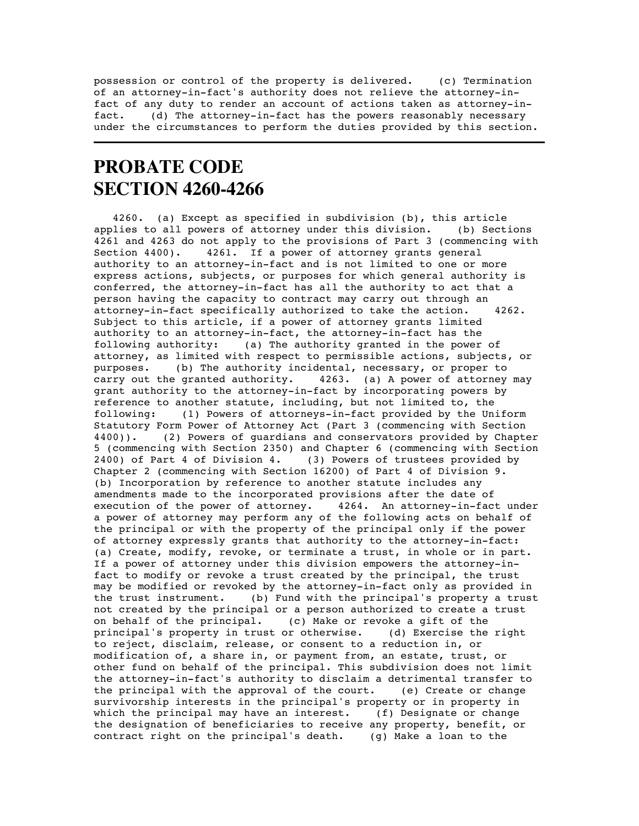possession or control of the property is delivered. (c) Termination of an attorney-in-fact's authority does not relieve the attorney-infact of any duty to render an account of actions taken as attorney-infact. (d) The attorney-in-fact has the powers reasonably necessary under the circumstances to perform the duties provided by this section.

# **PROBATE CODE SECTION 4260-4266**

 4260. (a) Except as specified in subdivision (b), this article applies to all powers of attorney under this division. (b) Sections 4261 and 4263 do not apply to the provisions of Part 3 (commencing with Section 4400). 4261. If a power of attorney grants general authority to an attorney-in-fact and is not limited to one or more express actions, subjects, or purposes for which general authority is conferred, the attorney-in-fact has all the authority to act that a person having the capacity to contract may carry out through an attorney-in-fact specifically authorized to take the action. 4262. Subject to this article, if a power of attorney grants limited authority to an attorney-in-fact, the attorney-in-fact has the following authority: (a) The authority granted in the power of attorney, as limited with respect to permissible actions, subjects, or purposes. (b) The authority incidental, necessary, or proper to carry out the granted authority. 4263. (a) A power of attorney may grant authority to the attorney-in-fact by incorporating powers by reference to another statute, including, but not limited to, the following: (1) Powers of attorneys-in-fact provided by the Uniform Statutory Form Power of Attorney Act (Part 3 (commencing with Section 4400)). (2) Powers of guardians and conservators provided by Chapter 5 (commencing with Section 2350) and Chapter 6 (commencing with Section 2400) of Part 4 of Division 4. (3) Powers of trustees provided by Chapter 2 (commencing with Section 16200) of Part 4 of Division 9. (b) Incorporation by reference to another statute includes any amendments made to the incorporated provisions after the date of execution of the power of attorney. 4264. An attorney-in-fact under a power of attorney may perform any of the following acts on behalf of the principal or with the property of the principal only if the power of attorney expressly grants that authority to the attorney-in-fact: (a) Create, modify, revoke, or terminate a trust, in whole or in part. If a power of attorney under this division empowers the attorney-infact to modify or revoke a trust created by the principal, the trust may be modified or revoked by the attorney-in-fact only as provided in the trust instrument. (b) Fund with the principal's property a trust not created by the principal or a person authorized to create a trust on behalf of the principal. (c) Make or revoke a gift of the principal's property in trust or otherwise. (d) Exercise the right to reject, disclaim, release, or consent to a reduction in, or modification of, a share in, or payment from, an estate, trust, or other fund on behalf of the principal. This subdivision does not limit the attorney-in-fact's authority to disclaim a detrimental transfer to the principal with the approval of the court. (e) Create or change survivorship interests in the principal's property or in property in which the principal may have an interest. (f) Designate or change the designation of beneficiaries to receive any property, benefit, or contract right on the principal's death. (g) Make a loan to the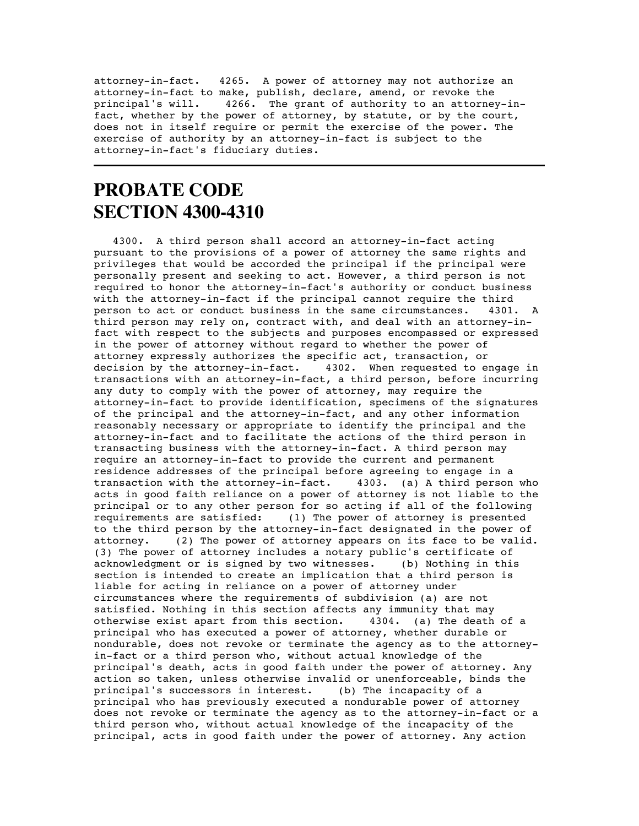attorney-in-fact. 4265. A power of attorney may not authorize an attorney-in-fact to make, publish, declare, amend, or revoke the principal's will. 4266. The grant of authority to an attorney-infact, whether by the power of attorney, by statute, or by the court, does not in itself require or permit the exercise of the power. The exercise of authority by an attorney-in-fact is subject to the attorney-in-fact's fiduciary duties.

## **PROBATE CODE SECTION 4300-4310**

 4300. A third person shall accord an attorney-in-fact acting pursuant to the provisions of a power of attorney the same rights and privileges that would be accorded the principal if the principal were personally present and seeking to act. However, a third person is not required to honor the attorney-in-fact's authority or conduct business with the attorney-in-fact if the principal cannot require the third person to act or conduct business in the same circumstances. 4301. A third person may rely on, contract with, and deal with an attorney-infact with respect to the subjects and purposes encompassed or expressed in the power of attorney without regard to whether the power of attorney expressly authorizes the specific act, transaction, or decision by the attorney-in-fact. 4302. When requested to engage in transactions with an attorney-in-fact, a third person, before incurring any duty to comply with the power of attorney, may require the attorney-in-fact to provide identification, specimens of the signatures of the principal and the attorney-in-fact, and any other information reasonably necessary or appropriate to identify the principal and the attorney-in-fact and to facilitate the actions of the third person in transacting business with the attorney-in-fact. A third person may require an attorney-in-fact to provide the current and permanent residence addresses of the principal before agreeing to engage in a transaction with the attorney-in-fact. 4303. (a) A third person who acts in good faith reliance on a power of attorney is not liable to the principal or to any other person for so acting if all of the following requirements are satisfied: (1) The power of attorney is presented to the third person by the attorney-in-fact designated in the power of attorney. (2) The power of attorney appears on its face to be valid. (3) The power of attorney includes a notary public's certificate of acknowledgment or is signed by two witnesses. (b) Nothing in this section is intended to create an implication that a third person is liable for acting in reliance on a power of attorney under circumstances where the requirements of subdivision (a) are not satisfied. Nothing in this section affects any immunity that may otherwise exist apart from this section. 4304. (a) The death of a principal who has executed a power of attorney, whether durable or nondurable, does not revoke or terminate the agency as to the attorneyin-fact or a third person who, without actual knowledge of the principal's death, acts in good faith under the power of attorney. Any action so taken, unless otherwise invalid or unenforceable, binds the principal's successors in interest. (b) The incapacity of a principal who has previously executed a nondurable power of attorney does not revoke or terminate the agency as to the attorney-in-fact or a third person who, without actual knowledge of the incapacity of the principal, acts in good faith under the power of attorney. Any action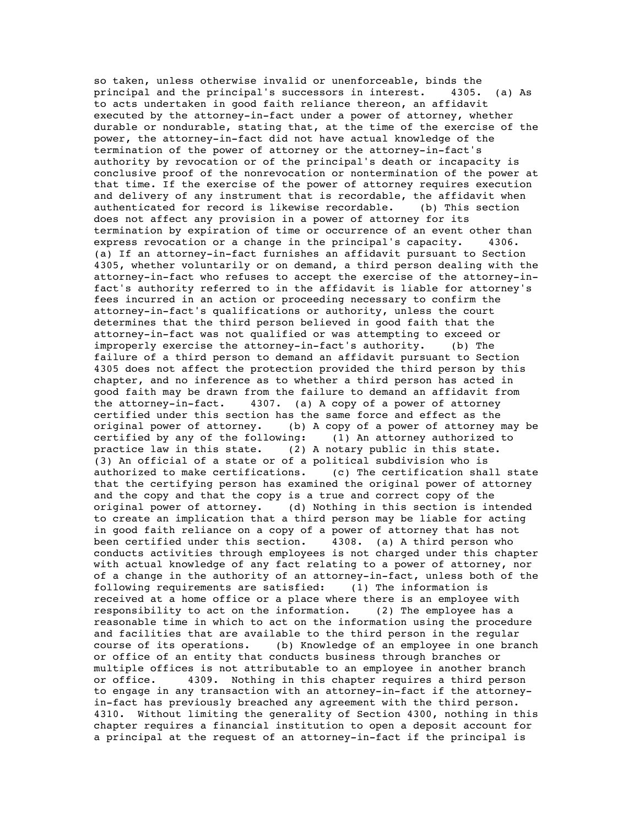so taken, unless otherwise invalid or unenforceable, binds the principal and the principal's successors in interest. 4305. (a) As to acts undertaken in good faith reliance thereon, an affidavit executed by the attorney-in-fact under a power of attorney, whether durable or nondurable, stating that, at the time of the exercise of the power, the attorney-in-fact did not have actual knowledge of the termination of the power of attorney or the attorney-in-fact's authority by revocation or of the principal's death or incapacity is conclusive proof of the nonrevocation or nontermination of the power at that time. If the exercise of the power of attorney requires execution and delivery of any instrument that is recordable, the affidavit when authenticated for record is likewise recordable. (b) This section does not affect any provision in a power of attorney for its termination by expiration of time or occurrence of an event other than express revocation or a change in the principal's capacity. 4306. (a) If an attorney-in-fact furnishes an affidavit pursuant to Section 4305, whether voluntarily or on demand, a third person dealing with the attorney-in-fact who refuses to accept the exercise of the attorney-infact's authority referred to in the affidavit is liable for attorney's fees incurred in an action or proceeding necessary to confirm the attorney-in-fact's qualifications or authority, unless the court determines that the third person believed in good faith that the attorney-in-fact was not qualified or was attempting to exceed or improperly exercise the attorney-in-fact's authority. (b) The failure of a third person to demand an affidavit pursuant to Section 4305 does not affect the protection provided the third person by this chapter, and no inference as to whether a third person has acted in good faith may be drawn from the failure to demand an affidavit from the attorney-in-fact. 4307. (a) A copy of a power of attorney certified under this section has the same force and effect as the original power of attorney. (b) A copy of a power of attorney may be certified by any of the following: (1) An attorney authorized to practice law in this state. (2) A notary public in this state. (3) An official of a state or of a political subdivision who is authorized to make certifications. (c) The certification shall state that the certifying person has examined the original power of attorney and the copy and that the copy is a true and correct copy of the original power of attorney. (d) Nothing in this section is intended to create an implication that a third person may be liable for acting in good faith reliance on a copy of a power of attorney that has not been certified under this section. 4308. (a) A third person who conducts activities through employees is not charged under this chapter with actual knowledge of any fact relating to a power of attorney, nor of a change in the authority of an attorney-in-fact, unless both of the following requirements are satisfied:  $(1)$  The information is following requirements are satisfied: received at a home office or a place where there is an employee with responsibility to act on the information. (2) The employee has a reasonable time in which to act on the information using the procedure and facilities that are available to the third person in the regular course of its operations. (b) Knowledge of an employee in one branch or office of an entity that conducts business through branches or multiple offices is not attributable to an employee in another branch or office. 4309. Nothing in this chapter requires a third person to engage in any transaction with an attorney-in-fact if the attorneyin-fact has previously breached any agreement with the third person. 4310. Without limiting the generality of Section 4300, nothing in this chapter requires a financial institution to open a deposit account for a principal at the request of an attorney-in-fact if the principal is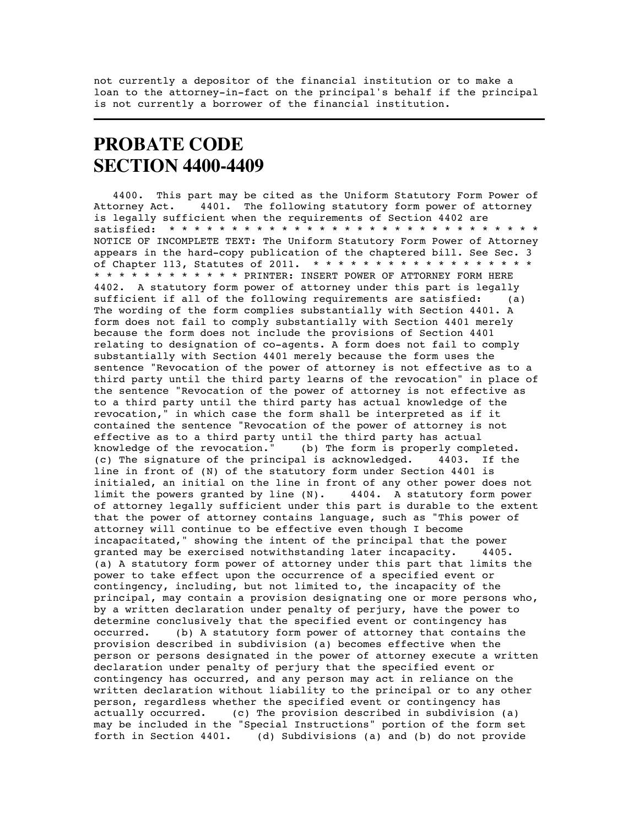not currently a depositor of the financial institution or to make a loan to the attorney-in-fact on the principal's behalf if the principal is not currently a borrower of the financial institution.

### **PROBATE CODE SECTION 4400-4409**

 4400. This part may be cited as the Uniform Statutory Form Power of Attorney Act. 4401. The following statutory form power of attorney is legally sufficient when the requirements of Section 4402 are satisfied: \*\*\*\*\*\*\*\*\*\*\*\*\*\*\*\*\*\*\*\*\*\*\*\*\*\*\*\*\*\*\*\*\*\* NOTICE OF INCOMPLETE TEXT: The Uniform Statutory Form Power of Attorney appears in the hard-copy publication of the chaptered bill. See Sec. 3 of Chapter 113, Statutes of 2011. \* \* \* \* \* \* \* \* \* \* \* \* \* \* \* \* \* \* \* \* \* \* \* \* \* \* \* \* \* \* PRINTER: INSERT POWER OF ATTORNEY FORM HERE 4402. A statutory form power of attorney under this part is legally sufficient if all of the following requirements are satisfied: (a) The wording of the form complies substantially with Section 4401. A form does not fail to comply substantially with Section 4401 merely because the form does not include the provisions of Section 4401 relating to designation of co-agents. A form does not fail to comply substantially with Section 4401 merely because the form uses the sentence "Revocation of the power of attorney is not effective as to a third party until the third party learns of the revocation" in place of the sentence "Revocation of the power of attorney is not effective as to a third party until the third party has actual knowledge of the revocation," in which case the form shall be interpreted as if it contained the sentence "Revocation of the power of attorney is not effective as to a third party until the third party has actual knowledge of the revocation." (b) The form is properly completed. (c) The signature of the principal is acknowledged. 4403. If the line in front of (N) of the statutory form under Section 4401 is initialed, an initial on the line in front of any other power does not limit the powers granted by line (N). 4404. A statutory form power of attorney legally sufficient under this part is durable to the extent that the power of attorney contains language, such as "This power of attorney will continue to be effective even though I become incapacitated," showing the intent of the principal that the power granted may be exercised notwithstanding later incapacity. 4405. (a) A statutory form power of attorney under this part that limits the power to take effect upon the occurrence of a specified event or contingency, including, but not limited to, the incapacity of the principal, may contain a provision designating one or more persons who, by a written declaration under penalty of perjury, have the power to determine conclusively that the specified event or contingency has occurred. (b) A statutory form power of attorney that contains the provision described in subdivision (a) becomes effective when the person or persons designated in the power of attorney execute a written declaration under penalty of perjury that the specified event or contingency has occurred, and any person may act in reliance on the written declaration without liability to the principal or to any other person, regardless whether the specified event or contingency has actually occurred. (c) The provision described in subdivision (a) may be included in the "Special Instructions" portion of the form set forth in Section 4401. (d) Subdivisions (a) and (b) do not provide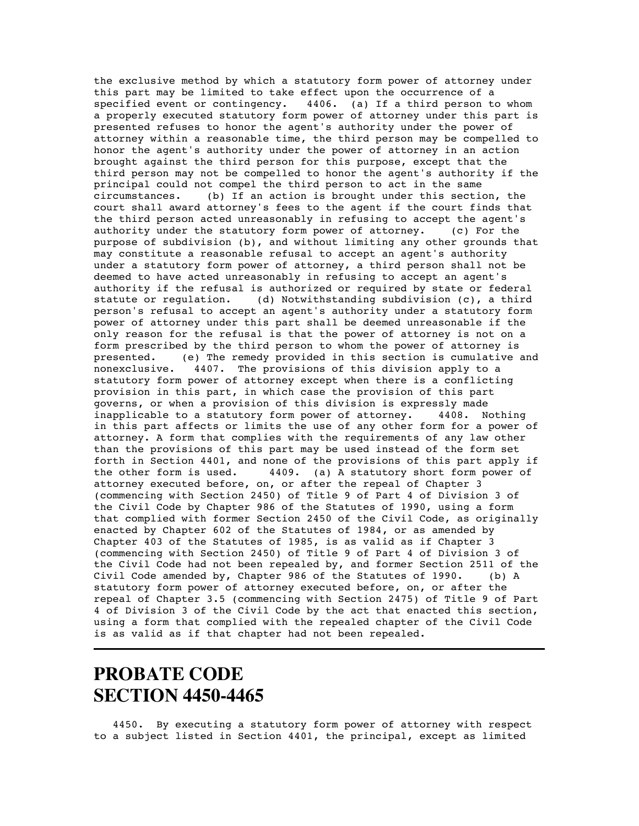the exclusive method by which a statutory form power of attorney under this part may be limited to take effect upon the occurrence of a specified event or contingency. 4406. (a) If a third person to whom a properly executed statutory form power of attorney under this part is presented refuses to honor the agent's authority under the power of attorney within a reasonable time, the third person may be compelled to honor the agent's authority under the power of attorney in an action brought against the third person for this purpose, except that the third person may not be compelled to honor the agent's authority if the principal could not compel the third person to act in the same circumstances. (b) If an action is brought under this section, the court shall award attorney's fees to the agent if the court finds that the third person acted unreasonably in refusing to accept the agent's authority under the statutory form power of attorney. (c) For the purpose of subdivision (b), and without limiting any other grounds that may constitute a reasonable refusal to accept an agent's authority under a statutory form power of attorney, a third person shall not be deemed to have acted unreasonably in refusing to accept an agent's authority if the refusal is authorized or required by state or federal statute or regulation. (d) Notwithstanding subdivision (c), a third person's refusal to accept an agent's authority under a statutory form power of attorney under this part shall be deemed unreasonable if the only reason for the refusal is that the power of attorney is not on a form prescribed by the third person to whom the power of attorney is presented. (e) The remedy provided in this section is cumulative and nonexclusive. 4407. The provisions of this division apply to a statutory form power of attorney except when there is a conflicting provision in this part, in which case the provision of this part governs, or when a provision of this division is expressly made inapplicable to a statutory form power of attorney. 4408. Nothing in this part affects or limits the use of any other form for a power of attorney. A form that complies with the requirements of any law other than the provisions of this part may be used instead of the form set forth in Section 4401, and none of the provisions of this part apply if the other form is used. 4409. (a) A statutory short form power of attorney executed before, on, or after the repeal of Chapter 3 (commencing with Section 2450) of Title 9 of Part 4 of Division 3 of the Civil Code by Chapter 986 of the Statutes of 1990, using a form that complied with former Section 2450 of the Civil Code, as originally enacted by Chapter 602 of the Statutes of 1984, or as amended by Chapter 403 of the Statutes of 1985, is as valid as if Chapter 3 (commencing with Section 2450) of Title 9 of Part 4 of Division 3 of the Civil Code had not been repealed by, and former Section 2511 of the Civil Code amended by, Chapter 986 of the Statutes of 1990. (b) A statutory form power of attorney executed before, on, or after the repeal of Chapter 3.5 (commencing with Section 2475) of Title 9 of Part 4 of Division 3 of the Civil Code by the act that enacted this section, using a form that complied with the repealed chapter of the Civil Code is as valid as if that chapter had not been repealed.

### **PROBATE CODE SECTION 4450-4465**

 4450. By executing a statutory form power of attorney with respect to a subject listed in Section 4401, the principal, except as limited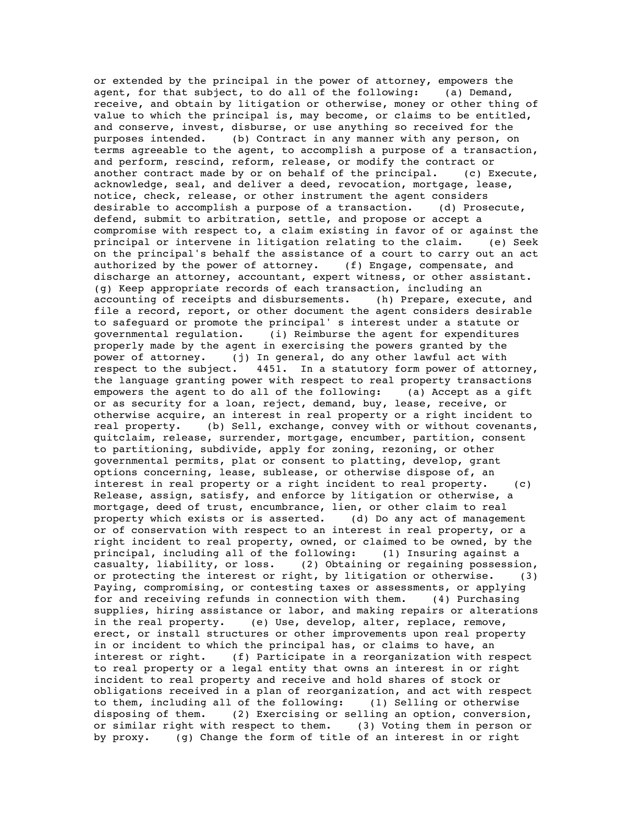or extended by the principal in the power of attorney, empowers the agent, for that subject, to do all of the following: (a) Demand, receive, and obtain by litigation or otherwise, money or other thing of value to which the principal is, may become, or claims to be entitled, and conserve, invest, disburse, or use anything so received for the purposes intended. (b) Contract in any manner with any person, o (b) Contract in any manner with any person, on terms agreeable to the agent, to accomplish a purpose of a transaction, and perform, rescind, reform, release, or modify the contract or another contract made by or on behalf of the principal. (c) Execute, acknowledge, seal, and deliver a deed, revocation, mortgage, lease, notice, check, release, or other instrument the agent considers desirable to accomplish a purpose of a transaction. (d) Prosecute, defend, submit to arbitration, settle, and propose or accept a compromise with respect to, a claim existing in favor of or against the principal or intervene in litigation relating to the claim. (e) Seek on the principal's behalf the assistance of a court to carry out an act authorized by the power of attorney. (f) Engage, compensate, and discharge an attorney, accountant, expert witness, or other assistant. (g) Keep appropriate records of each transaction, including an accounting of receipts and disbursements. (h) Prepare, execute, and file a record, report, or other document the agent considers desirable to safeguard or promote the principal' s interest under a statute or governmental regulation. (i) Reimburse the agent for expenditures properly made by the agent in exercising the powers granted by the power of attorney. (j) In general, do any other lawful act with respect to the subject. 4451. In a statutory form power of attorney, the language granting power with respect to real property transactions empowers the agent to do all of the following: (a) Accept as a gift or as security for a loan, reject, demand, buy, lease, receive, or otherwise acquire, an interest in real property or a right incident to real property. (b) Sell, exchange, convey with or without covenants, quitclaim, release, surrender, mortgage, encumber, partition, consent to partitioning, subdivide, apply for zoning, rezoning, or other governmental permits, plat or consent to platting, develop, grant options concerning, lease, sublease, or otherwise dispose of, an interest in real property or a right incident to real property. (c) Release, assign, satisfy, and enforce by litigation or otherwise, a mortgage, deed of trust, encumbrance, lien, or other claim to real property which exists or is asserted. (d) Do any act of management or of conservation with respect to an interest in real property, or a right incident to real property, owned, or claimed to be owned, by the principal, including all of the following: (1) Insuring against a casualty, liability, or loss. (2) Obtaining or regaining possession, or protecting the interest or right, by litigation or otherwise. (3) Paying, compromising, or contesting taxes or assessments, or applying for and receiving refunds in connection with them. (4) Purchasing supplies, hiring assistance or labor, and making repairs or alterations in the real property. (e) Use, develop, alter, replace, remove, erect, or install structures or other improvements upon real property in or incident to which the principal has, or claims to have, an interest or right. (f) Participate in a reorganization with respect to real property or a legal entity that owns an interest in or right incident to real property and receive and hold shares of stock or obligations received in a plan of reorganization, and act with respect to them, including all of the following: (1) Selling or otherwise<br>disposing of them. (2) Exercising or selling an option, conversion (2) Exercising or selling an option, conversion, or similar right with respect to them. (3) Voting them in person or by proxy. (g) Change the form of title of an interest in or right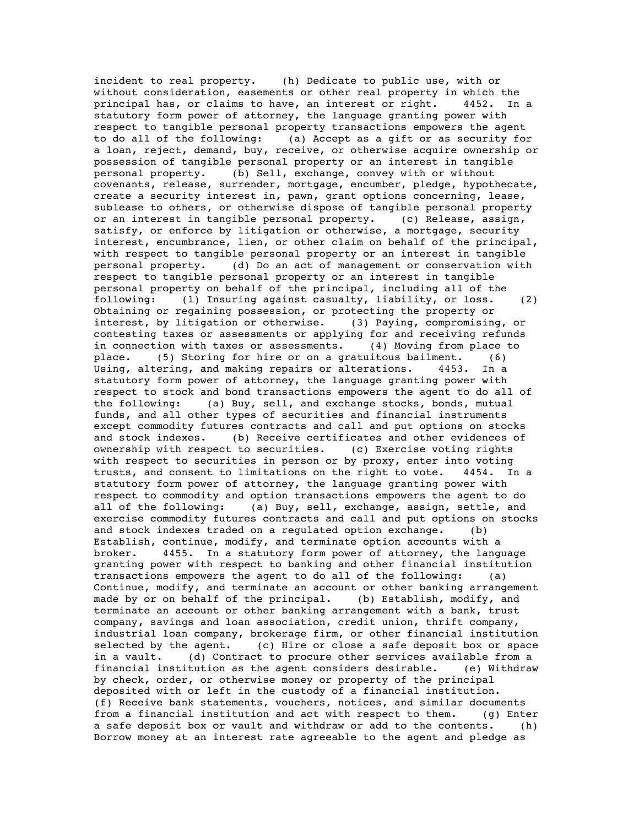incident to real property. (h) Dedicate to public use, with or without consideration, easements or other real property in which the principal has, or claims to have, an interest or right. 4452. In a statutory form power of attorney, the language granting power with respect to tangible personal property transactions empowers the agent to do all of the following: (a) Accept as a gift or as security for a loan, reject, demand, buy, receive, or otherwise acquire ownership or possession of tangible personal property or an interest in tangible personal property. (b) Sell, exchange, convey with or without covenants, release, surrender, mortgage, encumber, pledge, hypothecate, create a security interest in, pawn, grant options concerning, lease, sublease to others, or otherwise dispose of tangible personal property or an interest in tangible personal property. (c) Release, assign, satisfy, or enforce by litigation or otherwise, a mortgage, security interest, encumbrance, lien, or other claim on behalf of the principal, with respect to tangible personal property or an interest in tangible personal property. (d) Do an act of management or conservation with respect to tangible personal property or an interest in tangible personal property on behalf of the principal, including all of the following: (1) Insuring against casualty, liability, or loss. (2) Obtaining or regaining possession, or protecting the property or interest, by litigation or otherwise. (3) Paying, compromising, or interest, by litigation or otherwise. contesting taxes or assessments or applying for and receiving refunds in connection with taxes or assessments. (4) Moving from place to place. (5) Storing for hire or on a gratuitous bailment. (6) Using, altering, and making repairs or alterations. 4453. In a statutory form power of attorney, the language granting power with respect to stock and bond transactions empowers the agent to do all of the following: (a) Buy, sell, and exchange stocks, bonds, mutual funds, and all other types of securities and financial instruments except commodity futures contracts and call and put options on stocks and stock indexes. (b) Receive certificates and other evidences of ownership with respect to securities. (c) Exercise voting rights ownership with respect to securities. with respect to securities in person or by proxy, enter into voting trusts, and consent to limitations on the right to vote. 4454. In a statutory form power of attorney, the language granting power with respect to commodity and option transactions empowers the agent to do all of the following: (a) Buy, sell, exchange, assign, settle, and exercise commodity futures contracts and call and put options on stocks and stock indexes traded on a regulated option exchange. (b) Establish, continue, modify, and terminate option accounts with a broker. 4455. In a statutory form power of attorney, the language granting power with respect to banking and other financial institution transactions empowers the agent to do all of the following: (a) Continue, modify, and terminate an account or other banking arrangement made by or on behalf of the principal. (b) Establish, modify, and terminate an account or other banking arrangement with a bank, trust company, savings and loan association, credit union, thrift company, industrial loan company, brokerage firm, or other financial institution selected by the agent. (c) Hire or close a safe deposit box or space in a vault. (d) Contract to procure other services available from a financial institution as the agent considers desirable. (e) Withdraw by check, order, or otherwise money or property of the principal deposited with or left in the custody of a financial institution. (f) Receive bank statements, vouchers, notices, and similar documents from a financial institution and act with respect to them. (g) Enter a safe deposit box or vault and withdraw or add to the contents. (h) Borrow money at an interest rate agreeable to the agent and pledge as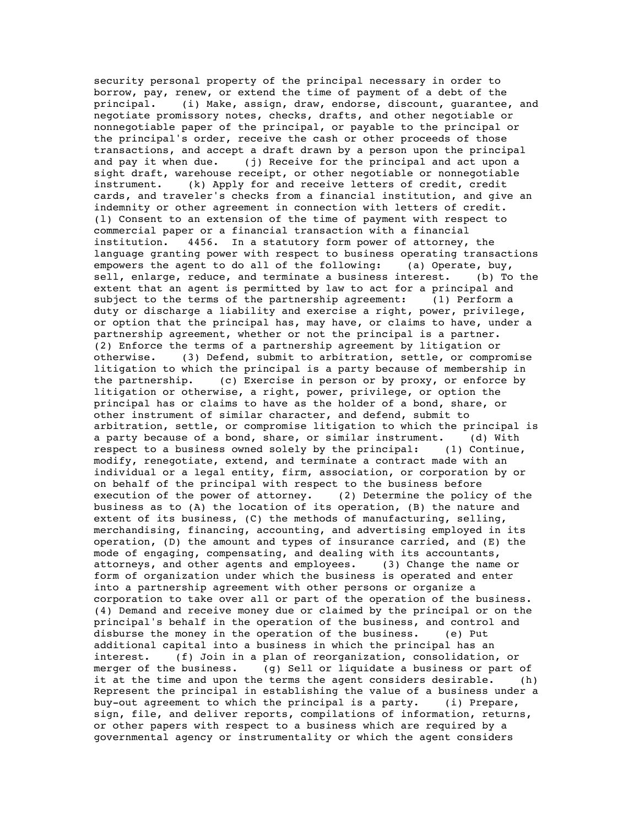security personal property of the principal necessary in order to borrow, pay, renew, or extend the time of payment of a debt of the principal. (i) Make, assign, draw, endorse, discount, guarantee, and negotiate promissory notes, checks, drafts, and other negotiable or nonnegotiable paper of the principal, or payable to the principal or the principal's order, receive the cash or other proceeds of those transactions, and accept a draft drawn by a person upon the principal and pay it when due. (j) Receive for the principal and act upon a sight draft, warehouse receipt, or other negotiable or nonnegotiable instrument. (k) Apply for and receive letters of credit, credit cards, and traveler's checks from a financial institution, and give an indemnity or other agreement in connection with letters of credit. (l) Consent to an extension of the time of payment with respect to commercial paper or a financial transaction with a financial institution. 4456. In a statutory form power of attorney, the language granting power with respect to business operating transactions empowers the agent to do all of the following: (a) Operate, buy, sell, enlarge, reduce, and terminate a business interest. (b) To the extent that an agent is permitted by law to act for a principal and subject to the terms of the partnership agreement: (1) Perform a duty or discharge a liability and exercise a right, power, privilege, or option that the principal has, may have, or claims to have, under a partnership agreement, whether or not the principal is a partner. (2) Enforce the terms of a partnership agreement by litigation or otherwise. (3) Defend, submit to arbitration, settle, or compromise litigation to which the principal is a party because of membership in the partnership. (c) Exercise in person or by proxy, or enforce by litigation or otherwise, a right, power, privilege, or option the principal has or claims to have as the holder of a bond, share, or other instrument of similar character, and defend, submit to arbitration, settle, or compromise litigation to which the principal is a party because of a bond, share, or similar instrument. (d) With respect to a business owned solely by the principal: (1) Continue, respect to a business owned solely by the principal: modify, renegotiate, extend, and terminate a contract made with an individual or a legal entity, firm, association, or corporation by or on behalf of the principal with respect to the business before execution of the power of attorney. (2) Determine the policy of the business as to (A) the location of its operation, (B) the nature and extent of its business, (C) the methods of manufacturing, selling, merchandising, financing, accounting, and advertising employed in its operation,  $(D)$  the amount and types of insurance carried, and  $(E)$  the mode of engaging, compensating, and dealing with its accountants,<br>attorneys, and other agents and employees. (3) Change the name or attorneys, and other agents and employees. form of organization under which the business is operated and enter into a partnership agreement with other persons or organize a corporation to take over all or part of the operation of the business. (4) Demand and receive money due or claimed by the principal or on the principal's behalf in the operation of the business, and control and disburse the money in the operation of the business. (e) Put additional capital into a business in which the principal has an interest. (f) Join in a plan of reorganization, consolidation, or merger of the business. (g) Sell or liquidate a business or part of it at the time and upon the terms the agent considers desirable. (h) Represent the principal in establishing the value of a business under a buy-out agreement to which the principal is a party. (i) Prepare, sign, file, and deliver reports, compilations of information, returns, or other papers with respect to a business which are required by a governmental agency or instrumentality or which the agent considers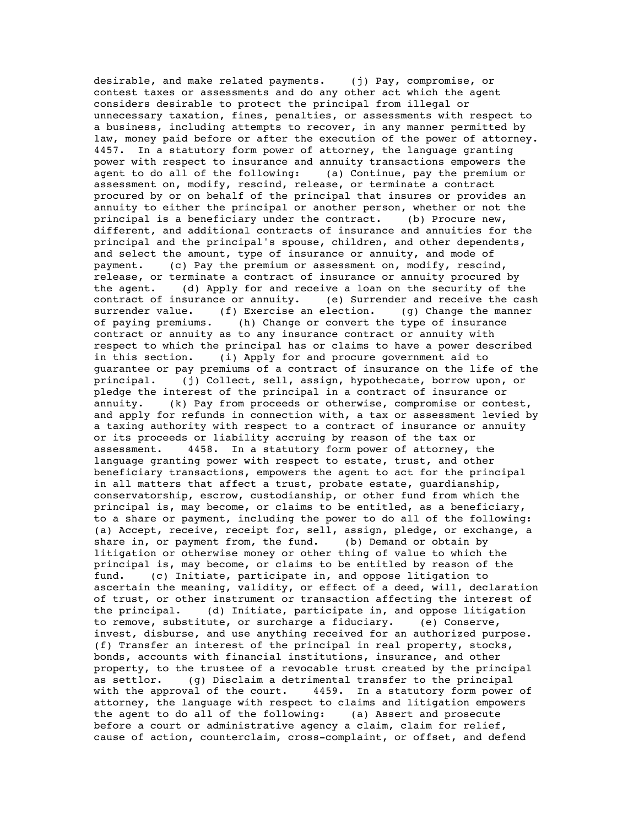desirable, and make related payments. (j) Pay, compromise, or contest taxes or assessments and do any other act which the agent considers desirable to protect the principal from illegal or unnecessary taxation, fines, penalties, or assessments with respect to a business, including attempts to recover, in any manner permitted by law, money paid before or after the execution of the power of attorney. 4457. In a statutory form power of attorney, the language granting power with respect to insurance and annuity transactions empowers the agent to do all of the following: (a) Continue, pay the premium or assessment on, modify, rescind, release, or terminate a contract procured by or on behalf of the principal that insures or provides an annuity to either the principal or another person, whether or not the principal is a beneficiary under the contract. (b) Procure new, different, and additional contracts of insurance and annuities for the principal and the principal's spouse, children, and other dependents, and select the amount, type of insurance or annuity, and mode of payment. (c) Pay the premium or assessment on, modify, rescind, release, or terminate a contract of insurance or annuity procured by the agent. (d) Apply for and receive a loan on the security of the contract of insurance or annuity. (e) Surrender and receive the cash surrender value. (f) Exercise an election. (g) Change the manner<br>of paying premiums. (h) Change or convert the type of insurance (h) Change or convert the type of insurance contract or annuity as to any insurance contract or annuity with respect to which the principal has or claims to have a power described in this section. (i) Apply for and procure government aid to guarantee or pay premiums of a contract of insurance on the life of the principal. (j) Collect, sell, assign, hypothecate, borrow upon, or pledge the interest of the principal in a contract of insurance or annuity. (k) Pay from proceeds or otherwise, compromise or contest, and apply for refunds in connection with, a tax or assessment levied by a taxing authority with respect to a contract of insurance or annuity or its proceeds or liability accruing by reason of the tax or assessment. 4458. In a statutory form power of attorney, the language granting power with respect to estate, trust, and other beneficiary transactions, empowers the agent to act for the principal in all matters that affect a trust, probate estate, guardianship, conservatorship, escrow, custodianship, or other fund from which the principal is, may become, or claims to be entitled, as a beneficiary, to a share or payment, including the power to do all of the following: (a) Accept, receive, receipt for, sell, assign, pledge, or exchange, a share in, or payment from, the fund. (b) Demand or obtain by litigation or otherwise money or other thing of value to which the principal is, may become, or claims to be entitled by reason of the fund. (c) Initiate, participate in, and oppose litigation to ascertain the meaning, validity, or effect of a deed, will, declaration of trust, or other instrument or transaction affecting the interest of the principal. (d) Initiate, participate in, and oppose litigation to remove, substitute, or surcharge a fiduciary. (e) Conserve, invest, disburse, and use anything received for an authorized purpose. (f) Transfer an interest of the principal in real property, stocks, bonds, accounts with financial institutions, insurance, and other property, to the trustee of a revocable trust created by the principal as settlor. (g) Disclaim a detrimental transfer to the principal with the approval of the court. 4459. In a statutory form power of attorney, the language with respect to claims and litigation empowers the agent to do all of the following: (a) Assert and prosecute before a court or administrative agency a claim, claim for relief, cause of action, counterclaim, cross-complaint, or offset, and defend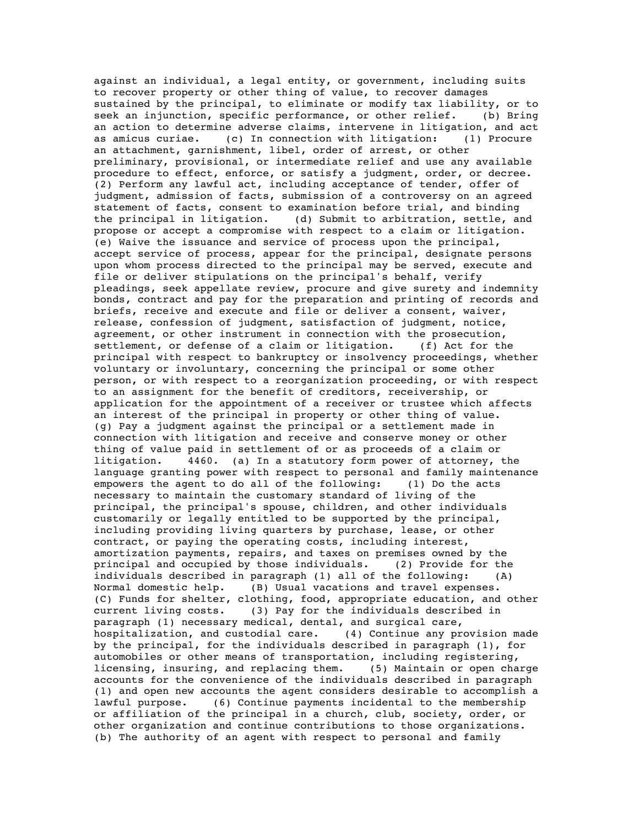against an individual, a legal entity, or government, including suits to recover property or other thing of value, to recover damages sustained by the principal, to eliminate or modify tax liability, or to seek an injunction, specific performance, or other relief. (b) Bring an action to determine adverse claims, intervene in litigation, and act as amicus curiae. (c) In connection with litigation: (1) Procure an attachment, garnishment, libel, order of arrest, or other preliminary, provisional, or intermediate relief and use any available procedure to effect, enforce, or satisfy a judgment, order, or decree. (2) Perform any lawful act, including acceptance of tender, offer of judgment, admission of facts, submission of a controversy on an agreed statement of facts, consent to examination before trial, and binding the principal in litigation. (d) Submit to arbitration, settle, and propose or accept a compromise with respect to a claim or litigation. (e) Waive the issuance and service of process upon the principal, accept service of process, appear for the principal, designate persons upon whom process directed to the principal may be served, execute and file or deliver stipulations on the principal's behalf, verify pleadings, seek appellate review, procure and give surety and indemnity bonds, contract and pay for the preparation and printing of records and briefs, receive and execute and file or deliver a consent, waiver, release, confession of judgment, satisfaction of judgment, notice, agreement, or other instrument in connection with the prosecution, settlement, or defense of a claim or litigation. (f) Act for the principal with respect to bankruptcy or insolvency proceedings, whether voluntary or involuntary, concerning the principal or some other person, or with respect to a reorganization proceeding, or with respect to an assignment for the benefit of creditors, receivership, or application for the appointment of a receiver or trustee which affects an interest of the principal in property or other thing of value. (g) Pay a judgment against the principal or a settlement made in connection with litigation and receive and conserve money or other thing of value paid in settlement of or as proceeds of a claim or litigation. 4460. (a) In a statutory form power of attorney, the language granting power with respect to personal and family maintenance empowers the agent to do all of the following: (1) Do the acts necessary to maintain the customary standard of living of the principal, the principal's spouse, children, and other individuals customarily or legally entitled to be supported by the principal, including providing living quarters by purchase, lease, or other contract, or paying the operating costs, including interest, amortization payments, repairs, and taxes on premises owned by the principal and occupied by those individuals. individuals described in paragraph (1) all of the following: (A) Normal domestic help. (B) Usual vacations and travel expenses. (C) Funds for shelter, clothing, food, appropriate education, and other current living costs. (3) Pay for the individuals described in paragraph (1) necessary medical, dental, and surgical care,<br>hospitalization, and custodial care. (4) Continue any provision made hospitalization, and custodial care. by the principal, for the individuals described in paragraph (1), for automobiles or other means of transportation, including registering, licensing, insuring, and replacing them. (5) Maintain or open charge accounts for the convenience of the individuals described in paragraph (1) and open new accounts the agent considers desirable to accomplish a lawful purpose. (6) Continue payments incidental to the membership or affiliation of the principal in a church, club, society, order, or other organization and continue contributions to those organizations. (b) The authority of an agent with respect to personal and family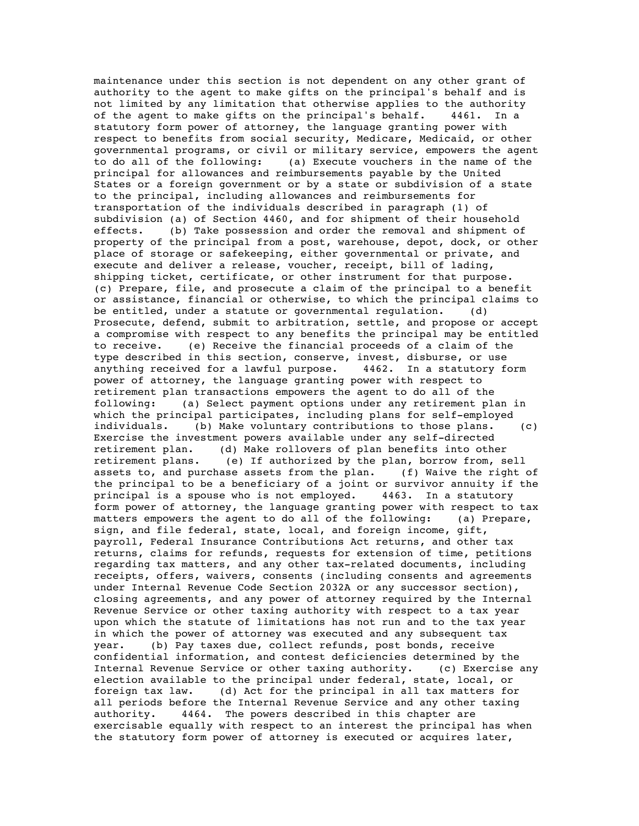maintenance under this section is not dependent on any other grant of authority to the agent to make gifts on the principal's behalf and is not limited by any limitation that otherwise applies to the authority of the agent to make gifts on the principal's behalf. 4461. In a statutory form power of attorney, the language granting power with respect to benefits from social security, Medicare, Medicaid, or other governmental programs, or civil or military service, empowers the agent to do all of the following: (a) Execute vouchers in the name of the principal for allowances and reimbursements payable by the United States or a foreign government or by a state or subdivision of a state to the principal, including allowances and reimbursements for transportation of the individuals described in paragraph (1) of subdivision (a) of Section 4460, and for shipment of their household effects. (b) Take possession and order the removal and shipment of property of the principal from a post, warehouse, depot, dock, or other place of storage or safekeeping, either governmental or private, and execute and deliver a release, voucher, receipt, bill of lading, shipping ticket, certificate, or other instrument for that purpose. (c) Prepare, file, and prosecute a claim of the principal to a benefit or assistance, financial or otherwise, to which the principal claims to be entitled, under a statute or governmental regulation. (d) Prosecute, defend, submit to arbitration, settle, and propose or accept a compromise with respect to any benefits the principal may be entitled to receive. (e) Receive the financial proceeds of a claim of the type described in this section, conserve, invest, disburse, or use anything received for a lawful purpose. 4462. In a statutory form power of attorney, the language granting power with respect to retirement plan transactions empowers the agent to do all of the following: (a) Select payment options under any retirement plan in which the principal participates, including plans for self-employed individuals. (b) Make voluntary contributions to those plans. (c) Exercise the investment powers available under any self-directed retirement plan. (d) Make rollovers of plan benefits into other retirement plans. (e) If authorized by the plan, borrow from, sell assets to, and purchase assets from the plan. (f) Waive the right of the principal to be a beneficiary of a joint or survivor annuity if the principal is a spouse who is not employed. 4463. In a statutory form power of attorney, the language granting power with respect to tax matters empowers the agent to do all of the following: (a) Prepare, sign, and file federal, state, local, and foreign income, gift, payroll, Federal Insurance Contributions Act returns, and other tax returns, claims for refunds, requests for extension of time, petitions regarding tax matters, and any other tax-related documents, including receipts, offers, waivers, consents (including consents and agreements under Internal Revenue Code Section 2032A or any successor section), closing agreements, and any power of attorney required by the Internal Revenue Service or other taxing authority with respect to a tax year upon which the statute of limitations has not run and to the tax year in which the power of attorney was executed and any subsequent tax year. (b) Pay taxes due, collect refunds, post bonds, receive confidential information, and contest deficiencies determined by the Internal Revenue Service or other taxing authority. (c) Exercise any election available to the principal under federal, state, local, or foreign tax law. (d) Act for the principal in all tax matters for all periods before the Internal Revenue Service and any other taxing authority. 4464. The powers described in this chapter are exercisable equally with respect to an interest the principal has when the statutory form power of attorney is executed or acquires later,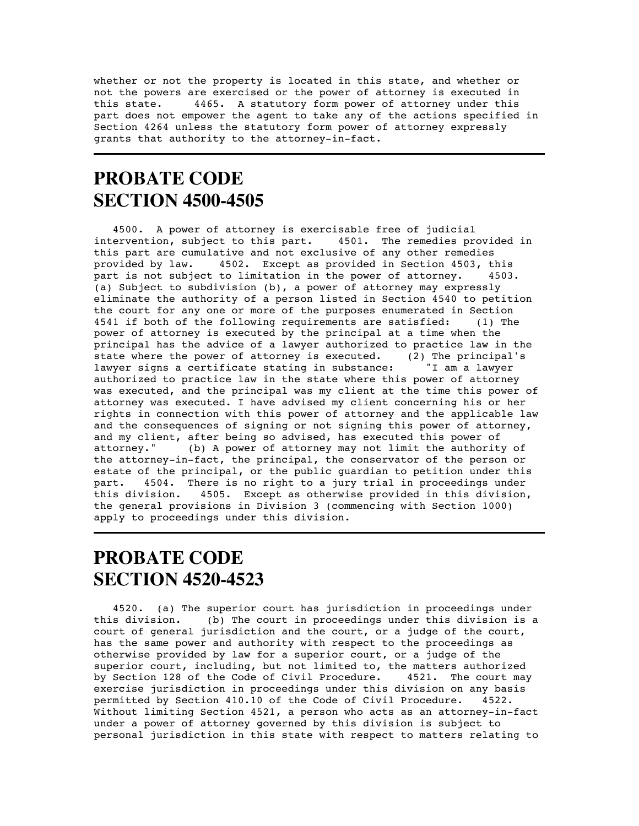whether or not the property is located in this state, and whether or not the powers are exercised or the power of attorney is executed in this state. 4465. A statutory form power of attorney under this part does not empower the agent to take any of the actions specified in Section 4264 unless the statutory form power of attorney expressly grants that authority to the attorney-in-fact.

## **PROBATE CODE SECTION 4500-4505**

 4500. A power of attorney is exercisable free of judicial intervention, subject to this part. 4501. The remedies provided in this part are cumulative and not exclusive of any other remedies provided by law. 4502. Except as provided in Section 4503, this part is not subject to limitation in the power of attorney. 4503. (a) Subject to subdivision (b), a power of attorney may expressly eliminate the authority of a person listed in Section 4540 to petition the court for any one or more of the purposes enumerated in Section 4541 if both of the following requirements are satisfied: (1) The power of attorney is executed by the principal at a time when the principal has the advice of a lawyer authorized to practice law in the state where the power of attorney is executed. (2) The principal's lawyer signs a certificate stating in substance: "I am a lawyer lawyer signs a certificate stating in substance: authorized to practice law in the state where this power of attorney was executed, and the principal was my client at the time this power of attorney was executed. I have advised my client concerning his or her rights in connection with this power of attorney and the applicable law and the consequences of signing or not signing this power of attorney, and my client, after being so advised, has executed this power of attorney." (b) A power of attorney may not limit the authority of the attorney-in-fact, the principal, the conservator of the person or estate of the principal, or the public guardian to petition under this part. 4504. There is no right to a jury trial in proceedings under this division. 4505. Except as otherwise provided in this division, the general provisions in Division 3 (commencing with Section 1000) apply to proceedings under this division.

### **PROBATE CODE SECTION 4520-4523**

 4520. (a) The superior court has jurisdiction in proceedings under this division. (b) The court in proceedings under this division is a court of general jurisdiction and the court, or a judge of the court, has the same power and authority with respect to the proceedings as otherwise provided by law for a superior court, or a judge of the superior court, including, but not limited to, the matters authorized by Section 128 of the Code of Civil Procedure. 4521. The court may exercise jurisdiction in proceedings under this division on any basis permitted by Section 410.10 of the Code of Civil Procedure. 4522. Without limiting Section 4521, a person who acts as an attorney-in-fact under a power of attorney governed by this division is subject to personal jurisdiction in this state with respect to matters relating to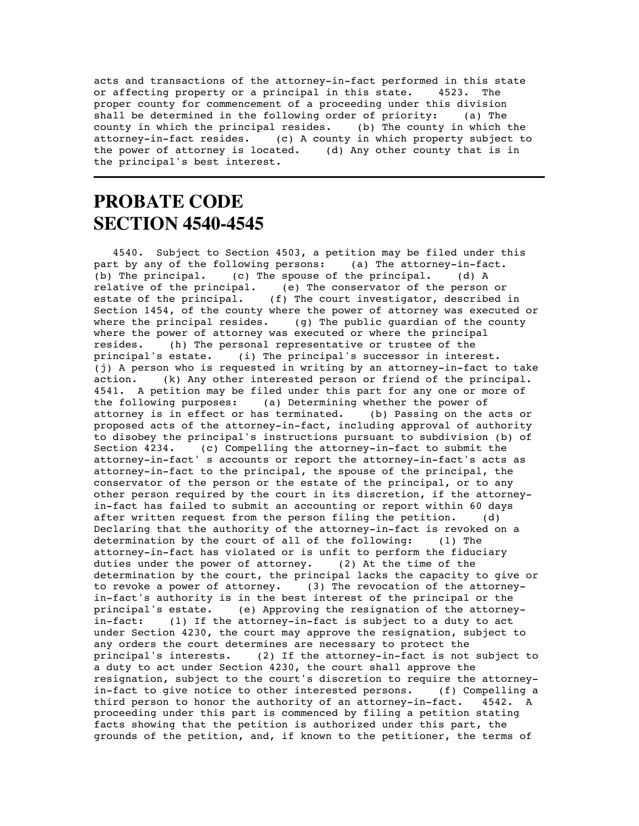acts and transactions of the attorney-in-fact performed in this state or affecting property or a principal in this state. 4523. The proper county for commencement of a proceeding under this division shall be determined in the following order of priority: (a) The county in which the principal resides. (b) The county in which the attorney-in-fact resides. (c) A county in which property subject to the power of attorney is located. (d) Any other county that is in the principal's best interest.

## **PROBATE CODE SECTION 4540-4545**

 4540. Subject to Section 4503, a petition may be filed under this part by any of the following persons: (a) The attorney-in-fact. (b) The principal. (c) The spouse of the principal. (d) A relative of the principal. (e) The conservator of the person or estate of the principal. (f) The court investigator, described in Section 1454, of the county where the power of attorney was executed or where the principal resides. (g) The public guardian of the county where the power of attorney was executed or where the principal resides. (h) The personal representative or trustee of the principal's successor in intere (i) The principal's successor in interest. (j) A person who is requested in writing by an attorney-in-fact to take action. (k) Any other interested person or friend of the principal. 4541. A petition may be filed under this part for any one or more of the following purposes: (a) Determining whether the power of attorney is in effect or has terminated. (b) Passing on the acts or proposed acts of the attorney-in-fact, including approval of authority to disobey the principal's instructions pursuant to subdivision (b) of Section 4234. (c) Compelling the attorney-in-fact to submit the attorney-in-fact' s accounts or report the attorney-in-fact's acts as attorney-in-fact to the principal, the spouse of the principal, the conservator of the person or the estate of the principal, or to any other person required by the court in its discretion, if the attorneyin-fact has failed to submit an accounting or report within 60 days after written request from the person filing the petition. (d) Declaring that the authority of the attorney-in-fact is revoked on a determination by the court of all of the following: (1) The attorney-in-fact has violated or is unfit to perform the fiduciary<br>duties under the power of attorney. (2) At the time of the duties under the power of attorney. determination by the court, the principal lacks the capacity to give or to revoke a power of attorney. (3) The revocation of the attorneyin-fact's authority is in the best interest of the principal or the principal's estate. (e) Approving the resignation of the attorneyin-fact: (1) If the attorney-in-fact is subject to a duty to act under Section 4230, the court may approve the resignation, subject to any orders the court determines are necessary to protect the principal's interests. (2) If the attorney-in-fact is not subject to a duty to act under Section 4230, the court shall approve the resignation, subject to the court's discretion to require the attorneyin-fact to give notice to other interested persons. (f) Compelling a third person to honor the authority of an attorney-in-fact. 4542. A proceeding under this part is commenced by filing a petition stating facts showing that the petition is authorized under this part, the grounds of the petition, and, if known to the petitioner, the terms of